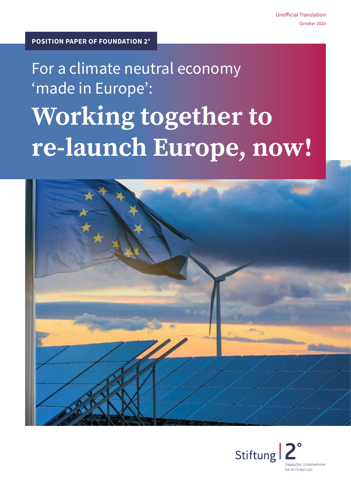# For a climate neutral economy 'made in Europe': **Working together to re-launch Europe, now!**



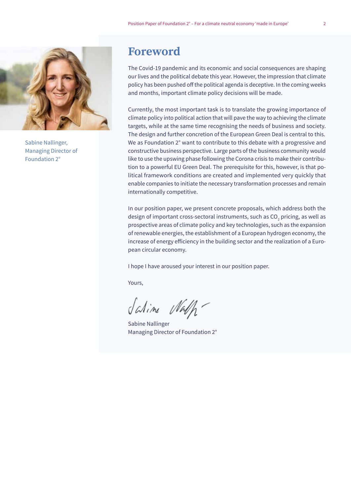

Sabine Nallinger, Managing Director of Foundation 2°

# **Foreword**

The Covid-19 pandemic and its economic and social consequences are shaping our lives and the political debate this year. However, the impression that climate policy has been pushed off the political agenda is deceptive. In the coming weeks and months, important climate policy decisions will be made.

Currently, the most important task is to translate the growing importance of climate policy into political action that will pave the way to achieving the climate targets, while at the same time recognising the needs of business and society. The design and further concretion of the European Green Deal is central to this. We as Foundation 2° want to contribute to this debate with a progressive and constructive business perspective. Large parts of the business community would like to use the upswing phase following the Corona crisis to make their contribution to a powerful EU Green Deal. The prerequisite for this, however, is that political framework conditions are created and implemented very quickly that enable companies to initiate the necessary transformation processes and remain internationally competitive.

In our position paper, we present concrete proposals, which address both the design of important cross-sectoral instruments, such as CO $_{\textrm{\tiny{2}}}$  pricing, as well as prospective areas of climate policy and key technologies, such as the expansion of renewable energies, the establishment of a European hydrogen economy, the increase of energy efficiency in the building sector and the realization of a European circular economy.

I hope I have aroused your interest in our position paper.

Yours,

Salime Nalh-

Sabine Nallinger Managing Director of Foundation 2°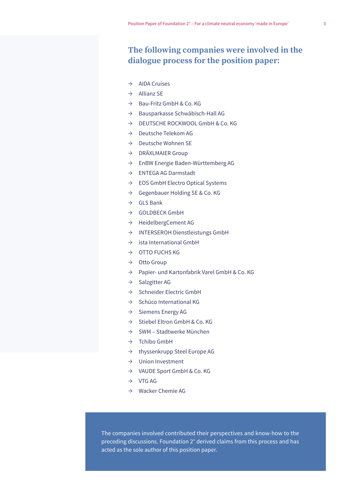### **The following companies were involved in the dialogue process for the position paper:**

- $\rightarrow$  AIDA Cruises
- $\rightarrow$  Allianz SE
- $\rightarrow$  Bau-Fritz GmbH & Co. KG
- $\rightarrow$  Bausparkasse Schwäbisch-Hall AG
- → DEUTSCHE ROCKWOOL GmbH & Co. KG
- $\rightarrow$  Deutsche Telekom AG
- → Deutsche Wohnen SE
- $\rightarrow$  DRÄXLMAIER Group
- $\rightarrow$  EnBW Energie Baden-Württemberg AG
- $\rightarrow$  ENTEGA AG Darmstadt
- $\rightarrow$  EOS GmbH Electro Optical Systems
- $\rightarrow$  Gegenbauer Holding SE & Co. KG
- $\rightarrow$  GLS Bank
- → GOLDBECK GmbH
- → HeidelbergCement AG
- → INTERSEROH Dienstleistungs GmbH
- $\rightarrow$  ista International GmbH
- $\rightarrow$  OTTO FUCHS KG
- $\rightarrow$  Otto Group
- → Papier- und Kartonfabrik Varel GmbH & Co. KG
- $\rightarrow$  Salzgitter AG
- → Schneider Electric GmbH
- $\rightarrow$  Schüco International KG
- $\rightarrow$  Siemens Energy AG
- → Stiebel Eltron GmbH & Co. KG
- $\rightarrow$  SWM Stadtwerke München
- $\rightarrow$  Tchibo GmbH
- $\rightarrow$  thyssenkrupp Steel Europe AG
- $\rightarrow$  Union Investment
- → VAUDE Sport GmbH & Co. KG
- $\rightarrow$  VTG AG
- $\rightarrow$  Wacker Chemie AG

The companies involved contributed their perspectives and know-how to the preceding discussions. Foundation 2° derived claims from this process and has acted as the sole author of this position paper.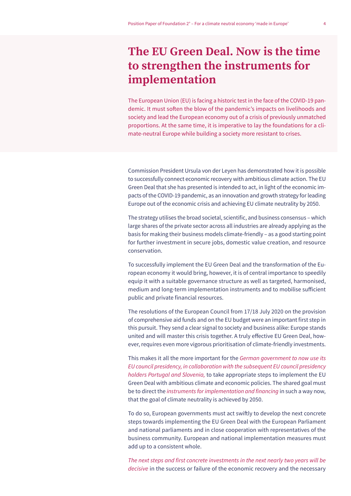# **The EU Green Deal. Now is the time to strengthen the instruments for implementation**

The European Union (EU) is facing a historic test in the face of the COVID-19 pandemic. It must soften the blow of the pandemic's impacts on livelihoods and society and lead the European economy out of a crisis of previously unmatched proportions. At the same time, it is imperative to lay the foundations for a climate-neutral Europe while building a society more resistant to crises.

Commission President Ursula von der Leyen has demonstrated how it is possible to successfully connect economic recovery with ambitious climate action. The EU Green Deal that she has presented is intended to act, in light of the economic impacts of the COVID-19 pandemic, as an innovation and growth strategy for leading Europe out of the economic crisis and achieving EU climate neutrality by 2050.

The strategy utilises the broad societal, scientific, and business consensus – which large shares of the private sector across all industries are already applying as the basis for making their business models climate-friendly – as a good starting point for further investment in secure jobs, domestic value creation, and resource conservation.

To successfully implement the EU Green Deal and the transformation of the European economy it would bring, however, it is of central importance to speedily equip it with a suitable governance structure as well as targeted, harmonised, medium and long-term implementation instruments and to mobilise sufficient public and private financial resources.

The resolutions of the European Council from 17/18 July 2020 on the provision of comprehensive aid funds and on the EU budget were an important first step in this pursuit. They send a clear signal to society and business alike: Europe stands united and will master this crisis together. A truly effective EU Green Deal, however, requires even more vigorous prioritisation of climate-friendly investments.

This makes it all the more important for the *German government to now use its EU council presidency, in collaboration with the subsequent EU council presidency holders Portugal and Slovenia,* to take appropriate steps to implement the EU Green Deal with ambitious climate and economic policies. The shared goal must be to direct the instruments for implementation and financing in such a way now, that the goal of climate neutrality is achieved by 2050.

To do so, European governments must act swiftly to develop the next concrete steps towards implementing the EU Green Deal with the European Parliament and national parliaments and in close cooperation with representatives of the business community. European and national implementation measures must add up to a consistent whole.

The next steps and first concrete investments in the next nearly two years will be *decisive* in the success or failure of the economic recovery and the necessary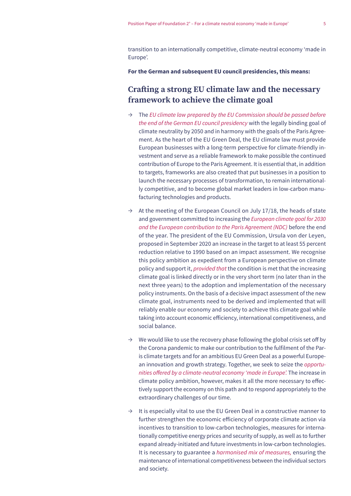transition to an internationally competitive, climate-neutral economy 'made in Europe'.

**For the German and subsequent EU council presidencies, this means:**

#### **Crafting a strong EU climate law and the necessary framework to achieve the climate goal**

- Ʌ The *EU climate law prepared by the EU Commission should be passed before the end of the German EU council presidency* with the legally binding goal of climate neutrality by 2050 and in harmony with the goals of the Paris Agreement. As the heart of the EU Green Deal, the EU climate law must provide European businesses with a long-term perspective for climate-friendly investment and serve as a reliable framework to make possible the continued contribution of Europe to the Paris Agreement. It is essential that, in addition to targets, frameworks are also created that put businesses in a position to launch the necessary processes of transformation, to remain internationally competitive, and to become global market leaders in low-carbon manufacturing technologies and products.
- $\rightarrow$  At the meeting of the European Council on July 17/18, the heads of state and government committed to increasing the *European climate goal for 2030 and the European contribution to the Paris Agreement (NDC)* before the end of the year. The president of the EU Commission, Ursula von der Leyen, proposed in September 2020 an increase in the target to at least 55 percent reduction relative to 1990 based on an impact assessment. We recognise this policy ambition as expedient from a European perspective on climate policy and support it, *provided that* the condition is met that the increasing climate goal is linked directly or in the very short term (no later than in the next three years) to the adoption and implementation of the necessary policy instruments. On the basis of a decisive impact assessment of the new climate goal, instruments need to be derived and implemented that will reliably enable our economy and society to achieve this climate goal while taking into account economic efficiency, international competitiveness, and social balance.
- $\rightarrow$  We would like to use the recovery phase following the global crisis set off by the Corona pandemic to make our contribution to the fulfilment of the Paris climate targets and for an ambitious EU Green Deal as a powerful European innovation and growth strategy. Together, we seek to seize the *opportu*nities offered by a climate-neutral economy 'made in Europe'. The increase in climate policy ambition, however, makes it all the more necessary to effectively support the economy on this path and to respond appropriately to the extraordinary challenges of our time.
- $\rightarrow$  It is especially vital to use the EU Green Deal in a constructive manner to further strengthen the economic efficiency of corporate climate action via incentives to transition to low-carbon technologies, measures for internationally competitive energy prices and security of supply, as well as to further expand already-initiated and future investments in low-carbon technologies. It is necessary to guarantee a *harmonised mix of measures,* ensuring the maintenance of international competitiveness between the individual sectors and society.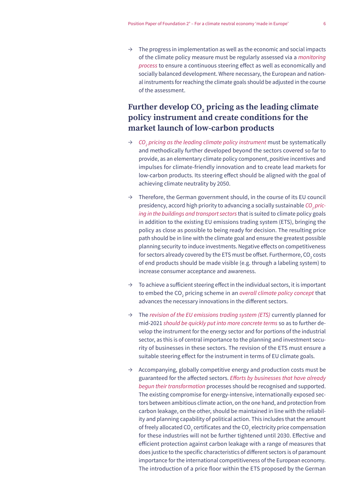$\rightarrow$  The progress in implementation as well as the economic and social impacts of the climate policy measure must be regularly assessed via a *monitoring process* to ensure a continuous steering effect as well as economically and socially balanced development. Where necessary, the European and national instruments for reaching the climate goals should be adjusted in the course of the assessment.

#### **Further develop CO2 pricing as the leading climate policy instrument and create conditions for the market launch of low-carbon products**

- Ʌ *CO2 pricing as the leading climate policy instrument* must be systematically and methodically further developed beyond the sectors covered so far to provide, as an elementary climate policy component, positive incentives and impulses for climate-friendly innovation and to create lead markets for low-carbon products. Its steering effect should be aligned with the goal of achieving climate neutrality by 2050.
- $\rightarrow$  Therefore, the German government should, in the course of its EU council presidency, accord high priority to advancing a socially sustainable *CO<sub>2</sub> pricing in the buildings and transport sectors* that is suited to climate policy goals in addition to the existing EU emissions trading system (ETS), bringing the policy as close as possible to being ready for decision. The resulting price path should be in line with the climate goal and ensure the greatest possible planning security to induce investments. Negative effects on competitiveness for sectors already covered by the ETS must be offset. Furthermore, CO $_{\textrm{\tiny{2}}}$  costs of end products should be made visible (e.g. through a labeling system) to increase consumer acceptance and awareness.
- $\rightarrow$  To achieve a sufficient steering effect in the individual sectors, it is important to embed the CO<sub>2</sub> pricing scheme in an *overall climate policy concept* that advances the necessary innovations in the different sectors.
- Ʌ The *revision of the EU emissions trading system (ETS)* currently planned for mid-2021 *should be quickly put into more concrete terms* so as to further develop the instrument for the energy sector and for portions of the industrial sector, as this is of central importance to the planning and investment security of businesses in these sectors. The revision of the ETS must ensure a suitable steering effect for the instrument in terms of EU climate goals.
- $\rightarrow$  Accompanying, globally competitive energy and production costs must be guaranteed for the affected sectors. Efforts by businesses that have already *begun their transformation* processes should be recognised and supported. The existing compromise for energy-intensive, internationally exposed sectors between ambitious climate action, on the one hand, and protection from carbon leakage, on the other, should be maintained in line with the reliability and planning capability of political action. This includes that the amount of freely allocated CO $_{\textrm{\tiny{2}}}$  certificates and the CO $_{\textrm{\tiny{2}}}$  electricity price compensation for these industries will not be further tightened until 2030. Effective and efficient protection against carbon leakage with a range of measures that does justice to the specific characteristics of different sectors is of paramount importance for the international competitiveness of the European economy. The introduction of a price floor within the ETS proposed by the German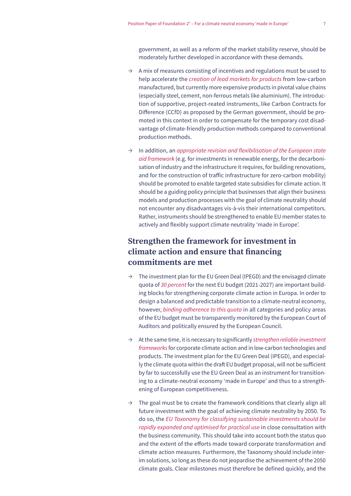government, as well as a reform of the market stability reserve, should be moderately further developed in accordance with these demands.

- $\rightarrow$  A mix of measures consisting of incentives and regulations must be used to help accelerate the *creation of lead markets for products* from low-carbon manufactured, but currently more expensive products in pivotal value chains (especially steel, cement, non-ferrous metals like aluminium). The introduction of supportive, project-reated instruments, like Carbon Contracts for Difference (CCfD) as proposed by the German government, should be promoted in this context in order to compensate for the temporary cost disadvantage of climate-friendly production methods compared to conventional production methods.
- $\rightarrow$  In addition, an appropriate revision and flexibilisation of the European state *aid framework* (e.g. for investments in renewable energy, for the decarbonisation of industry and the infrastructure it requires, for building renovations, and for the construction of traffic infrastructure for zero-carbon mobility) should be promoted to enable targeted state subsidies for climate action. It should be a guiding policy principle that businesses that align their business models and production processes with the goal of climate neutrality should not encounter any disadvantages vis-à-vis their international competitors. Rather, instruments should be strengthened to enable EU member states to actively and flexibly support climate neutrality 'made in Europe'.

#### **Strengthen the framework for investment in climate action and ensure that financing commitments are met**

- $\rightarrow$  The investment plan for the EU Green Deal (IPEGD) and the envisaged climate quota of *30 percent* for the next EU budget (2021-2027) are important building blocks for strengthening corporate climate action in Europa. In order to design a balanced and predictable transition to a climate-neutral economy, however, *binding adherence to this quota* in all categories and policy areas of the EU budget must be transparently monitored by the European Court of Auditors and politically ensured by the European Council.
- Ʌ At the same time, it is necessary to significantly *strengthen reliable investment frameworks* for corporate climate action and in low-carbon technologies and products. The investment plan for the EU Green Deal (IPEGD), and especially the climate quota within the draft EU budget proposal, will not be sufficient by far to successfully use the EU Green Deal as an instrument for transitioning to a climate-neutral economy 'made in Europe' and thus to a strengthening of European competitiveness.
- $\rightarrow$  The goal must be to create the framework conditions that clearly align all future investment with the goal of achieving climate neutrality by 2050. To do so, the *EU Taxonomy for classifying sustainable investments should be rapidly expanded and optimised for practical use* in close consultation with the business community. This should take into account both the status quo and the extent of the efforts made toward corporate transformation and climate action measures. Furthermore, the Taxonomy should include interim solutions, so long as these do not jeopardise the achievement of the 2050 climate goals. Clear milestones must therefore be defined quickly, and the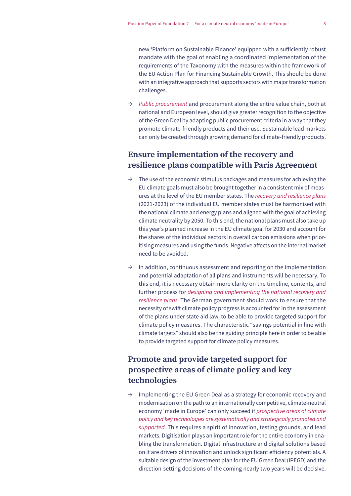new 'Platform on Sustainable Finance' equipped with a sufficiently robust mandate with the goal of enabling a coordinated implementation of the requirements of the Taxonomy with the measures within the framework of the EU Action Plan for Financing Sustainable Growth. This should be done with an integrative approach that supports sectors with major transformation challenges.

 $\rightarrow$  *Public procurement* and procurement along the entire value chain, both at national and European level, should give greater recognition to the objective of the Green Deal by adapting public procurement criteria in a way that they promote climate-friendly products and their use. Sustainable lead markets can only be created through growing demand for climate-friendly products.

#### **Ensure implementation of the recovery and resilience plans compatible with Paris Agreement**

- $\rightarrow$  The use of the economic stimulus packages and measures for achieving the EU climate goals must also be brought together in a consistent mix of measures at the level of the EU member states. The *recovery and resilience plans* (2021-2023) of the individual EU member states must be harmonised with the national climate and energy plans and aligned with the goal of achieving climate neutrality by 2050. To this end, the national plans must also take up this year's planned increase in the EU climate goal for 2030 and account for the shares of the individual sectors in overall carbon emissions when prioritising measures and using the funds. Negative affects on the internal market need to be avoided.
- $\rightarrow$  In addition, continuous assessment and reporting on the implementation and potential adaptation of all plans and instruments will be necessary. To this end, it is necessary obtain more clarity on the timeline, contents, and further process for *designing and implementing the national recovery and*  resilience plans. The German government should work to ensure that the necessity of swift climate policy progress is accounted for in the assessment of the plans under state aid law, to be able to provide targeted support for climate policy measures. The characteristic "savings potential in line with climate targets" should also be the guiding principle here in order to be able to provide targeted support for climate policy measures.

#### **Promote and provide targeted support for prospective areas of climate policy and key technologies**

 $\rightarrow$  Implementing the EU Green Deal as a strategy for economic recovery and modernisation on the path to an internationally competitive, climate-neutral economy 'made in Europe' can only succeed if *prospective areas of climate policy and key technologies are systematically and strategically promoted and*  supported. This requires a spirit of innovation, testing grounds, and lead markets. Digitisation plays an important role for the entire economy in enabling the transformation. Digital infrastructure and digital solutions based on it are drivers of innovation and unlock significant efficiency potentials. A suitable design of the investment plan for the EU Green Deal (IPEGD) and the direction-setting decisions of the coming nearly two years will be decisive.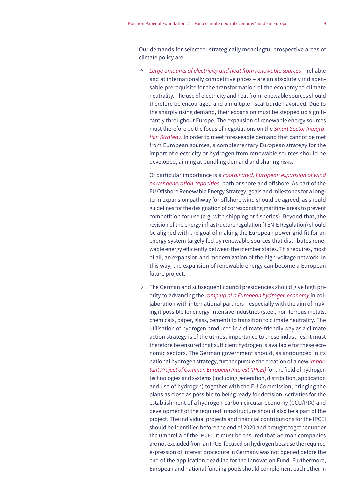Our demands for selected, strategically meaningful prospective areas of climate policy are:

Ʌ *Large amounts of electricity and heat from renewable sources* – reliable and at internationally competitive prices – are an absolutely indispensable prerequisite for the transformation of the economy to climate neutrality. The use of electricity and heat from renewable sources should therefore be encouraged and a multiple fiscal burden avoided. Due to the sharply rising demand, their expansion must be stepped up significantly throughout Europe. The expansion of renewable energy sources must therefore be the focus of negotiations on the *Smart Sector Integra*tion Strategy. In order to meet foreseeable demand that cannot be met from European sources, a complementary European strategy for the import of electricity or hydrogen from renewable sources should be developed, aiming at bundling demand and sharing risks.

Of particular importance is a *coordinated, European expansion of wind power generation capacities,* both onshore and offshore. As part of the EU Offshore Renewable Energy Strategy, goals and milestones for a longterm expansion pathway for offshore wind should be agreed, as should guidelines for the designation of corresponding maritime areas to prevent competition for use (e.g. with shipping or fisheries). Beyond that, the revision of the energy infrastructure regulation (TEN-E Regulation) should be aligned with the goal of making the European power grid fit for an energy system largely fed by renewable sources that distributes renewable energy efficiently between the member states. This requires, most of all, an expansion and modernization of the high-voltage network. In this way, the expansion of renewable energy can become a European future project.

 $\rightarrow$  The German and subsequent council presidencies should give high priority to advancing the *ramp up of a European hydrogen economy* in collaboration with international partners – especially with the aim of making it possible for energy-intensive industries (steel, non-ferrous metals, chemicals, paper, glass, cement) to transition to climate neutrality. The utilisation of hydrogen produced in a climate-friendly way as a climate action strategy is of the utmost importance to these industries. It must therefore be ensured that sufficient hydrogen is available for these economic sectors. The German government should, as announced in its national hydrogen strategy, further pursue the creation of a new I*mportant Project of Common European Interest (IPCEI)* for the field of hydrogen technologies and systems (including generation, distribution, application and use of hydrogen) together with the EU Commission, bringing the plans as close as possible to being ready for decision. Activities for the establishment of a hydrogen-carbon circular economy (CCU/PtX) and development of the required infrastructure should also be a part of the project. The individual projects and financial contributions for the IPCEI should be identified before the end of 2020 and brought together under the umbrella of the IPCEI. It must be ensured that German companies are not excluded from an IPCEI focused on hydrogen because the required expression of interest procedure in Germany was not opened before the end of the application deadline for the Innovation Fund. Furthermore, European and national funding pools should complement each other in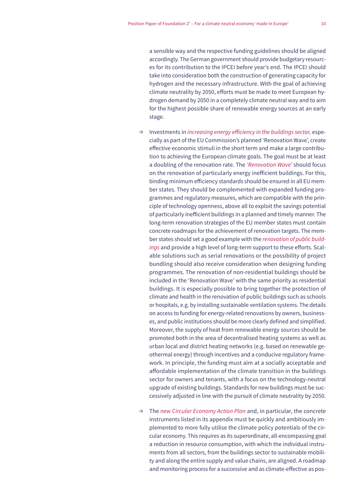a sensible way and the respective funding guidelines should be aligned accordingly. The German government should provide budgetary resources for its contribution to the IPCEI before year's end. The IPCEI should take into consideration both the construction of generating capacity for hydrogen and the necessary infrastructure. With the goal of achieving climate neutrality by 2050, efforts must be made to meet European hydrogen demand by 2050 in a completely climate neutral way and to aim for the highest possible share of renewable energy sources at an early stage.

- $\rightarrow$  Investments in *increasing energy efficiency in the buildings sector*, especially as part of the EU Commission's planned 'Renovation Wave', create effective economic stimuli in the short term and make a large contribution to achieving the European climate goals. The goal must be at least a doubling of the renovation rate. The 'Renovation Wave' should focus on the renovation of particularly energy inefficient buildings. For this, binding minimum efficiency standards should be ensured in all EU member states. They should be complemented with expanded funding programmes and regulatory measures, which are compatible with the principle of technology openness, above all to exploit the savings potential of particularly inefficient buildings in a planned and timely manner. The long-term renovation strategies of the EU member states must contain concrete roadmaps for the achievement of renovation targets. The member states should set a good example with the *renovation of public buildings* and provide a high level of long-term support to these efforts. Scalable solutions such as serial renovations or the possibility of project bundling should also receive consideration when designing funding programmes. The renovation of non-residential buildings should be included in the 'Renovation Wave' with the same priority as residential buildings. It is especially possible to bring together the protection of climate and health in the renovation of public buildings such as schools or hospitals, e.g. by installing sustainable ventilation systems. The details on access to funding for energy-related renovations by owners, businesses, and public institutions should be more clearly defined and simplified. Moreover, the supply of heat from renewable energy sources should be promoted both in the area of decentralised heating systems as well as urban local and district heating networks (e.g. based on renewable geothermal energy) through incentives and a conducive regulatory framework. In principle, the funding must aim at a socially acceptable and affordable implementation of the climate transition in the buildings sector for owners and tenants, with a focus on the technology-neutral upgrade of existing buildings. Standards for new buildings must be successively adjusted in line with the pursuit of climate neutrality by 2050.
- $\rightarrow$  The *new Circular Economy Action Plan* and, in particular, the concrete instruments listed in its appendix must be quickly and ambitiously implemented to more fully utilise the climate policy potentials of the circular economy. This requires as its superordinate, all-encompassing goal a reduction in resource consumption, with which the individual instruments from all sectors, from the buildings sector to sustainable mobility and along the entire supply and value chains, are aligned. A roadmap and monitoring process for a successive and as climate-effective as pos-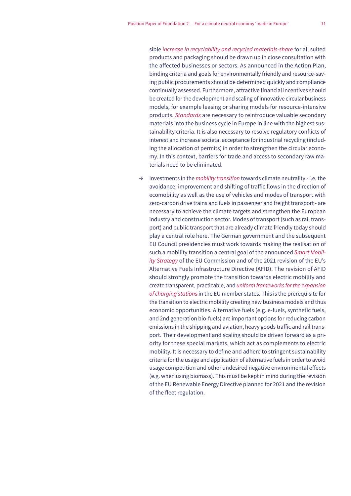sible *increase in recyclability and recycled materials-share* for all suited products and packaging should be drawn up in close consultation with the affected businesses or sectors. As announced in the Action Plan, binding criteria and goals for environmentally friendly and resource-saving public procurements should be determined quickly and compliance continually assessed. Furthermore, attractive financial incentives should be created for the development and scaling of innovative circular business models, for example leasing or sharing models for resource-intensive products. *Standards* are necessary to reintroduce valuable secondary materials into the business cycle in Europe in line with the highest sustainability criteria. It is also necessary to resolve regulatory conflicts of interest and increase societal acceptance for industrial recycling (including the allocation of permits) in order to strengthen the circular economy. In this context, barriers for trade and access to secondary raw materials need to be eliminated.

Ʌ Investments in the *mobility transition* towards climate neutrality - i.e. the avoidance, improvement and shifting of traffic flows in the direction of ecomobility as well as the use of vehicles and modes of transport with zero-carbon drive trains and fuels in passenger and freight transport - are necessary to achieve the climate targets and strengthen the European industry and construction sector. Modes of transport (such as rail transport) and public transport that are already climate friendly today should play a central role here. The German government and the subsequent EU Council presidencies must work towards making the realisation of such a mobility transition a central goal of the announced *Smart Mobility Strategy* of the EU Commission and of the 2021 revision of the EU's Alternative Fuels Infrastructure Directive (AFID). The revision of AFID should strongly promote the transition towards electric mobility and create transparent, practicable, and *uniform frameworks for the expansion of charging stations* in the EU member states. This is the prerequisite for the transition to electric mobility creating new business models and thus economic opportunities. Alternative fuels (e.g. e-fuels, synthetic fuels, and 2nd generation bio-fuels) are important options for reducing carbon emissions in the shipping and aviation, heavy goods traffic and rail transport. Their development and scaling should be driven forward as a priority for these special markets, which act as complements to electric mobility. It is necessary to define and adhere to stringent sustainability criteria for the usage and application of alternative fuels in order to avoid usage competition and other undesired negative environmental effects (e.g. when using biomass). This must be kept in mind during the revision of the EU Renewable Energy Directive planned for 2021 and the revision of the fleet regulation.